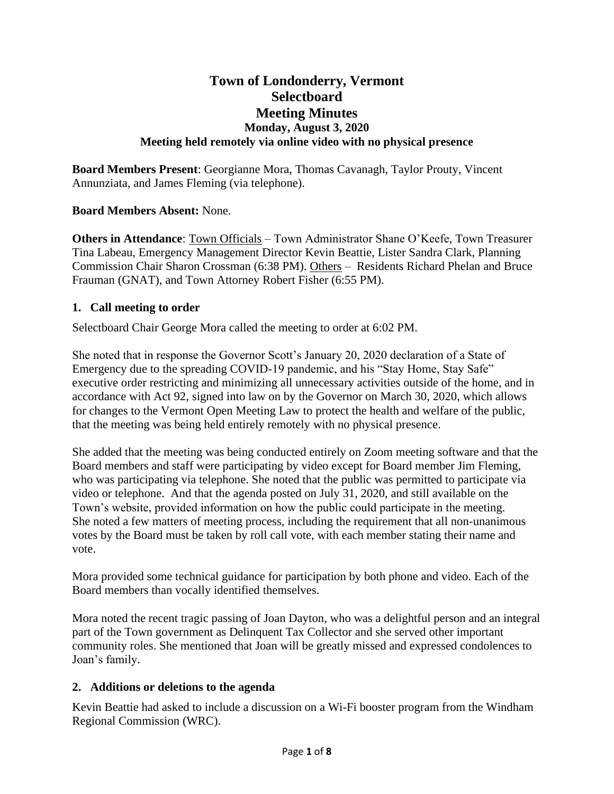# **Town of Londonderry, Vermont Selectboard Meeting Minutes Monday, August 3, 2020 Meeting held remotely via online video with no physical presence**

**Board Members Present**: Georgianne Mora, Thomas Cavanagh, Taylor Prouty, Vincent Annunziata, and James Fleming (via telephone).

## **Board Members Absent:** None.

**Others in Attendance**: Town Officials – Town Administrator Shane O'Keefe, Town Treasurer Tina Labeau, Emergency Management Director Kevin Beattie, Lister Sandra Clark, Planning Commission Chair Sharon Crossman (6:38 PM). Others – Residents Richard Phelan and Bruce Frauman (GNAT), and Town Attorney Robert Fisher (6:55 PM).

### **1. Call meeting to order**

Selectboard Chair George Mora called the meeting to order at 6:02 PM.

She noted that in response the Governor Scott's January 20, 2020 declaration of a State of Emergency due to the spreading COVID-19 pandemic, and his "Stay Home, Stay Safe" executive order restricting and minimizing all unnecessary activities outside of the home, and in accordance with Act 92, signed into law on by the Governor on March 30, 2020, which allows for changes to the Vermont Open Meeting Law to protect the health and welfare of the public, that the meeting was being held entirely remotely with no physical presence.

She added that the meeting was being conducted entirely on Zoom meeting software and that the Board members and staff were participating by video except for Board member Jim Fleming, who was participating via telephone. She noted that the public was permitted to participate via video or telephone. And that the agenda posted on July 31, 2020, and still available on the Town's website, provided information on how the public could participate in the meeting. She noted a few matters of meeting process, including the requirement that all non-unanimous votes by the Board must be taken by roll call vote, with each member stating their name and vote.

Mora provided some technical guidance for participation by both phone and video. Each of the Board members than vocally identified themselves.

Mora noted the recent tragic passing of Joan Dayton, who was a delightful person and an integral part of the Town government as Delinquent Tax Collector and she served other important community roles. She mentioned that Joan will be greatly missed and expressed condolences to Joan's family.

### **2. Additions or deletions to the agenda**

Kevin Beattie had asked to include a discussion on a Wi-Fi booster program from the Windham Regional Commission (WRC).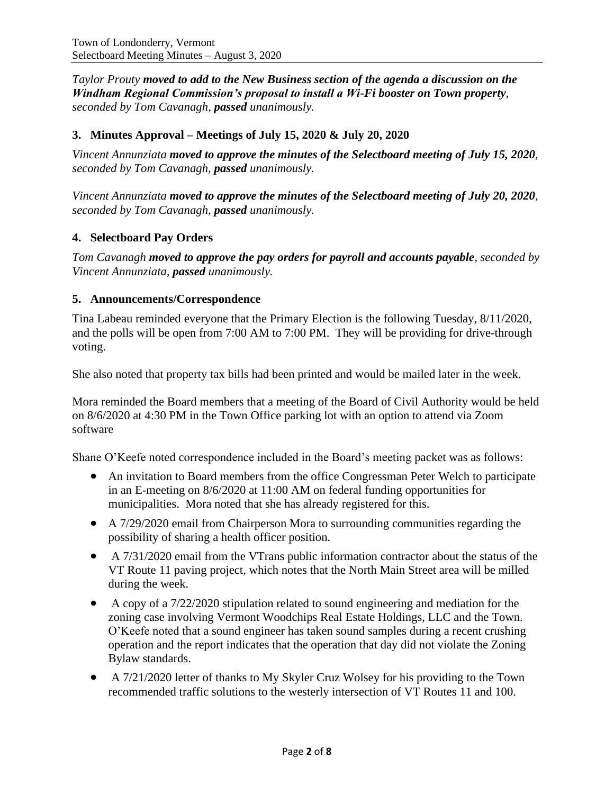*Taylor Prouty moved to add to the New Business section of the agenda a discussion on the Windham Regional Commission's proposal to install a Wi-Fi booster on Town property, seconded by Tom Cavanagh, passed unanimously.*

## **3. Minutes Approval – Meetings of July 15, 2020 & July 20, 2020**

*Vincent Annunziata moved to approve the minutes of the Selectboard meeting of July 15, 2020, seconded by Tom Cavanagh, passed unanimously.*

*Vincent Annunziata moved to approve the minutes of the Selectboard meeting of July 20, 2020, seconded by Tom Cavanagh, passed unanimously.*

## **4. Selectboard Pay Orders**

*Tom Cavanagh moved to approve the pay orders for payroll and accounts payable, seconded by Vincent Annunziata, passed unanimously.*

#### **5. Announcements/Correspondence**

Tina Labeau reminded everyone that the Primary Election is the following Tuesday, 8/11/2020, and the polls will be open from 7:00 AM to 7:00 PM. They will be providing for drive-through voting.

She also noted that property tax bills had been printed and would be mailed later in the week.

Mora reminded the Board members that a meeting of the Board of Civil Authority would be held on 8/6/2020 at 4:30 PM in the Town Office parking lot with an option to attend via Zoom software

Shane O'Keefe noted correspondence included in the Board's meeting packet was as follows:

- An invitation to Board members from the office Congressman Peter Welch to participate in an E-meeting on 8/6/2020 at 11:00 AM on federal funding opportunities for municipalities. Mora noted that she has already registered for this.
- A 7/29/2020 email from Chairperson Mora to surrounding communities regarding the possibility of sharing a health officer position.
- A 7/31/2020 email from the VTrans public information contractor about the status of the VT Route 11 paving project, which notes that the North Main Street area will be milled during the week.
- A copy of a 7/22/2020 stipulation related to sound engineering and mediation for the zoning case involving Vermont Woodchips Real Estate Holdings, LLC and the Town. O'Keefe noted that a sound engineer has taken sound samples during a recent crushing operation and the report indicates that the operation that day did not violate the Zoning Bylaw standards.
- A 7/21/2020 letter of thanks to My Skyler Cruz Wolsey for his providing to the Town recommended traffic solutions to the westerly intersection of VT Routes 11 and 100.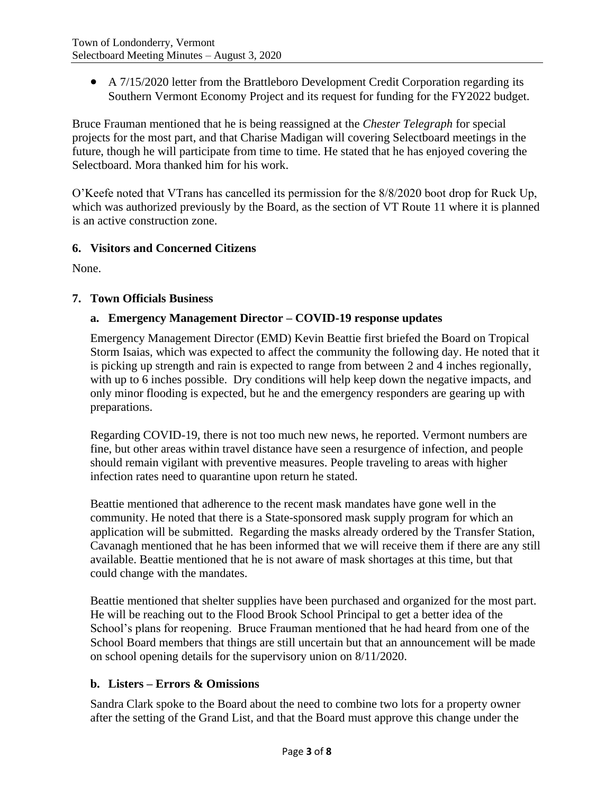• A 7/15/2020 letter from the Brattleboro Development Credit Corporation regarding its Southern Vermont Economy Project and its request for funding for the FY2022 budget.

Bruce Frauman mentioned that he is being reassigned at the *Chester Telegraph* for special projects for the most part, and that Charise Madigan will covering Selectboard meetings in the future, though he will participate from time to time. He stated that he has enjoyed covering the Selectboard. Mora thanked him for his work.

O'Keefe noted that VTrans has cancelled its permission for the 8/8/2020 boot drop for Ruck Up, which was authorized previously by the Board, as the section of VT Route 11 where it is planned is an active construction zone.

### **6. Visitors and Concerned Citizens**

None.

## **7. Town Officials Business**

## **a. Emergency Management Director – COVID-19 response updates**

Emergency Management Director (EMD) Kevin Beattie first briefed the Board on Tropical Storm Isaias, which was expected to affect the community the following day. He noted that it is picking up strength and rain is expected to range from between 2 and 4 inches regionally, with up to 6 inches possible. Dry conditions will help keep down the negative impacts, and only minor flooding is expected, but he and the emergency responders are gearing up with preparations.

Regarding COVID-19, there is not too much new news, he reported. Vermont numbers are fine, but other areas within travel distance have seen a resurgence of infection, and people should remain vigilant with preventive measures. People traveling to areas with higher infection rates need to quarantine upon return he stated.

Beattie mentioned that adherence to the recent mask mandates have gone well in the community. He noted that there is a State-sponsored mask supply program for which an application will be submitted. Regarding the masks already ordered by the Transfer Station, Cavanagh mentioned that he has been informed that we will receive them if there are any still available. Beattie mentioned that he is not aware of mask shortages at this time, but that could change with the mandates.

Beattie mentioned that shelter supplies have been purchased and organized for the most part. He will be reaching out to the Flood Brook School Principal to get a better idea of the School's plans for reopening. Bruce Frauman mentioned that he had heard from one of the School Board members that things are still uncertain but that an announcement will be made on school opening details for the supervisory union on 8/11/2020.

# **b. Listers – Errors & Omissions**

Sandra Clark spoke to the Board about the need to combine two lots for a property owner after the setting of the Grand List, and that the Board must approve this change under the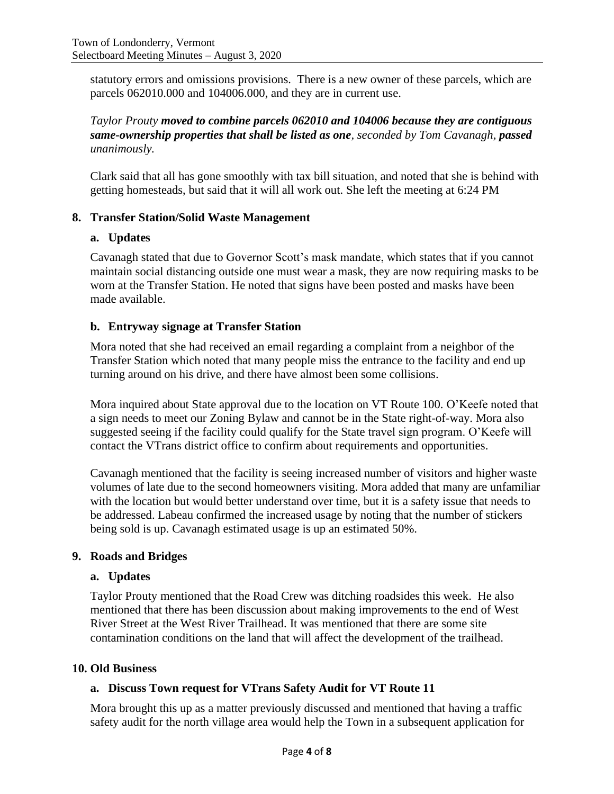statutory errors and omissions provisions. There is a new owner of these parcels, which are parcels 062010.000 and 104006.000, and they are in current use.

*Taylor Prouty moved to combine parcels 062010 and 104006 because they are contiguous same-ownership properties that shall be listed as one, seconded by Tom Cavanagh, passed unanimously.*

Clark said that all has gone smoothly with tax bill situation, and noted that she is behind with getting homesteads, but said that it will all work out. She left the meeting at 6:24 PM

### **8. Transfer Station/Solid Waste Management**

#### **a. Updates**

Cavanagh stated that due to Governor Scott's mask mandate, which states that if you cannot maintain social distancing outside one must wear a mask, they are now requiring masks to be worn at the Transfer Station. He noted that signs have been posted and masks have been made available.

#### **b. Entryway signage at Transfer Station**

Mora noted that she had received an email regarding a complaint from a neighbor of the Transfer Station which noted that many people miss the entrance to the facility and end up turning around on his drive, and there have almost been some collisions.

Mora inquired about State approval due to the location on VT Route 100. O'Keefe noted that a sign needs to meet our Zoning Bylaw and cannot be in the State right-of-way. Mora also suggested seeing if the facility could qualify for the State travel sign program. O'Keefe will contact the VTrans district office to confirm about requirements and opportunities.

Cavanagh mentioned that the facility is seeing increased number of visitors and higher waste volumes of late due to the second homeowners visiting. Mora added that many are unfamiliar with the location but would better understand over time, but it is a safety issue that needs to be addressed. Labeau confirmed the increased usage by noting that the number of stickers being sold is up. Cavanagh estimated usage is up an estimated 50%.

#### **9. Roads and Bridges**

#### **a. Updates**

Taylor Prouty mentioned that the Road Crew was ditching roadsides this week. He also mentioned that there has been discussion about making improvements to the end of West River Street at the West River Trailhead. It was mentioned that there are some site contamination conditions on the land that will affect the development of the trailhead.

#### **10. Old Business**

### **a. Discuss Town request for VTrans Safety Audit for VT Route 11**

Mora brought this up as a matter previously discussed and mentioned that having a traffic safety audit for the north village area would help the Town in a subsequent application for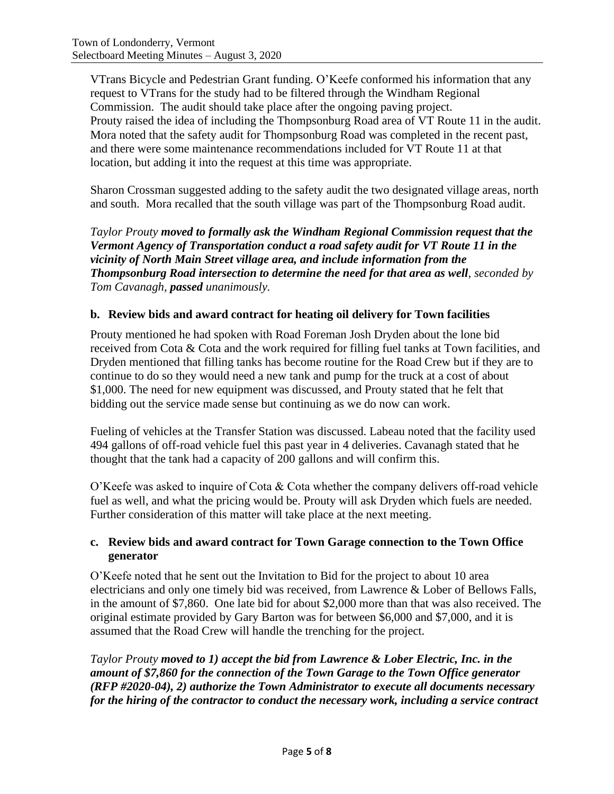VTrans Bicycle and Pedestrian Grant funding. O'Keefe conformed his information that any request to VTrans for the study had to be filtered through the Windham Regional Commission. The audit should take place after the ongoing paving project. Prouty raised the idea of including the Thompsonburg Road area of VT Route 11 in the audit. Mora noted that the safety audit for Thompsonburg Road was completed in the recent past, and there were some maintenance recommendations included for VT Route 11 at that location, but adding it into the request at this time was appropriate.

Sharon Crossman suggested adding to the safety audit the two designated village areas, north and south. Mora recalled that the south village was part of the Thompsonburg Road audit.

*Taylor Prouty moved to formally ask the Windham Regional Commission request that the Vermont Agency of Transportation conduct a road safety audit for VT Route 11 in the vicinity of North Main Street village area, and include information from the Thompsonburg Road intersection to determine the need for that area as well, seconded by Tom Cavanagh, passed unanimously.*

## **b. Review bids and award contract for heating oil delivery for Town facilities**

Prouty mentioned he had spoken with Road Foreman Josh Dryden about the lone bid received from Cota & Cota and the work required for filling fuel tanks at Town facilities, and Dryden mentioned that filling tanks has become routine for the Road Crew but if they are to continue to do so they would need a new tank and pump for the truck at a cost of about \$1,000. The need for new equipment was discussed, and Prouty stated that he felt that bidding out the service made sense but continuing as we do now can work.

Fueling of vehicles at the Transfer Station was discussed. Labeau noted that the facility used 494 gallons of off-road vehicle fuel this past year in 4 deliveries. Cavanagh stated that he thought that the tank had a capacity of 200 gallons and will confirm this.

O'Keefe was asked to inquire of Cota & Cota whether the company delivers off-road vehicle fuel as well, and what the pricing would be. Prouty will ask Dryden which fuels are needed. Further consideration of this matter will take place at the next meeting.

## **c. Review bids and award contract for Town Garage connection to the Town Office generator**

O'Keefe noted that he sent out the Invitation to Bid for the project to about 10 area electricians and only one timely bid was received, from Lawrence & Lober of Bellows Falls, in the amount of \$7,860. One late bid for about \$2,000 more than that was also received. The original estimate provided by Gary Barton was for between \$6,000 and \$7,000, and it is assumed that the Road Crew will handle the trenching for the project.

*Taylor Prouty moved to 1) accept the bid from Lawrence & Lober Electric, Inc. in the amount of \$7,860 for the connection of the Town Garage to the Town Office generator (RFP #2020-04), 2) authorize the Town Administrator to execute all documents necessary for the hiring of the contractor to conduct the necessary work, including a service contract*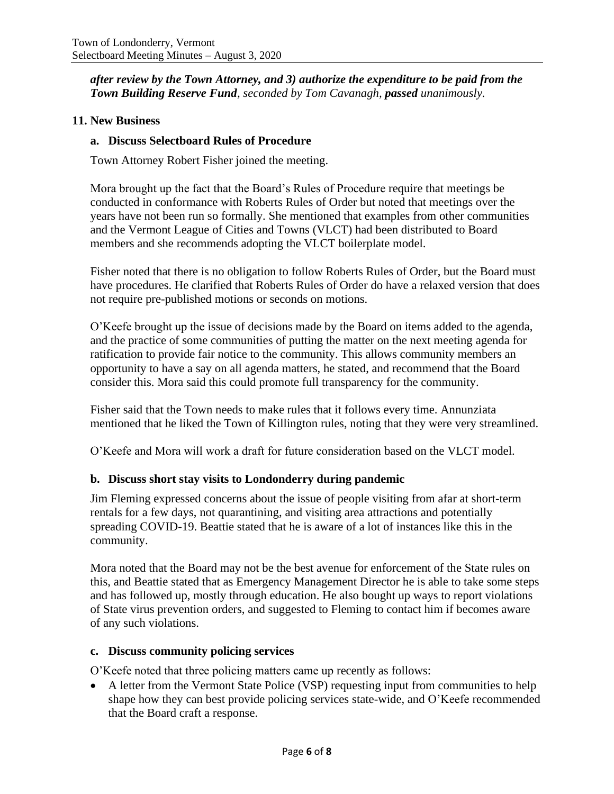*after review by the Town Attorney, and 3) authorize the expenditure to be paid from the Town Building Reserve Fund, seconded by Tom Cavanagh, passed unanimously.*

### **11. New Business**

#### **a. Discuss Selectboard Rules of Procedure**

Town Attorney Robert Fisher joined the meeting.

Mora brought up the fact that the Board's Rules of Procedure require that meetings be conducted in conformance with Roberts Rules of Order but noted that meetings over the years have not been run so formally. She mentioned that examples from other communities and the Vermont League of Cities and Towns (VLCT) had been distributed to Board members and she recommends adopting the VLCT boilerplate model.

Fisher noted that there is no obligation to follow Roberts Rules of Order, but the Board must have procedures. He clarified that Roberts Rules of Order do have a relaxed version that does not require pre-published motions or seconds on motions.

O'Keefe brought up the issue of decisions made by the Board on items added to the agenda, and the practice of some communities of putting the matter on the next meeting agenda for ratification to provide fair notice to the community. This allows community members an opportunity to have a say on all agenda matters, he stated, and recommend that the Board consider this. Mora said this could promote full transparency for the community.

Fisher said that the Town needs to make rules that it follows every time. Annunziata mentioned that he liked the Town of Killington rules, noting that they were very streamlined.

O'Keefe and Mora will work a draft for future consideration based on the VLCT model.

### **b. Discuss short stay visits to Londonderry during pandemic**

Jim Fleming expressed concerns about the issue of people visiting from afar at short-term rentals for a few days, not quarantining, and visiting area attractions and potentially spreading COVID-19. Beattie stated that he is aware of a lot of instances like this in the community.

Mora noted that the Board may not be the best avenue for enforcement of the State rules on this, and Beattie stated that as Emergency Management Director he is able to take some steps and has followed up, mostly through education. He also bought up ways to report violations of State virus prevention orders, and suggested to Fleming to contact him if becomes aware of any such violations.

#### **c. Discuss community policing services**

O'Keefe noted that three policing matters came up recently as follows:

• A letter from the Vermont State Police (VSP) requesting input from communities to help shape how they can best provide policing services state-wide, and O'Keefe recommended that the Board craft a response.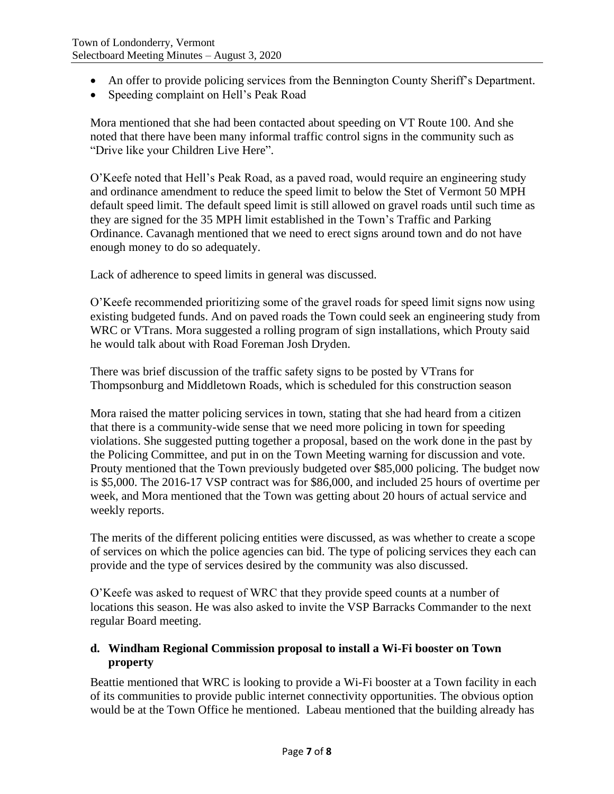- An offer to provide policing services from the Bennington County Sheriff's Department.
- Speeding complaint on Hell's Peak Road

Mora mentioned that she had been contacted about speeding on VT Route 100. And she noted that there have been many informal traffic control signs in the community such as "Drive like your Children Live Here".

O'Keefe noted that Hell's Peak Road, as a paved road, would require an engineering study and ordinance amendment to reduce the speed limit to below the Stet of Vermont 50 MPH default speed limit. The default speed limit is still allowed on gravel roads until such time as they are signed for the 35 MPH limit established in the Town's Traffic and Parking Ordinance. Cavanagh mentioned that we need to erect signs around town and do not have enough money to do so adequately.

Lack of adherence to speed limits in general was discussed.

O'Keefe recommended prioritizing some of the gravel roads for speed limit signs now using existing budgeted funds. And on paved roads the Town could seek an engineering study from WRC or VTrans. Mora suggested a rolling program of sign installations, which Prouty said he would talk about with Road Foreman Josh Dryden.

There was brief discussion of the traffic safety signs to be posted by VTrans for Thompsonburg and Middletown Roads, which is scheduled for this construction season

Mora raised the matter policing services in town, stating that she had heard from a citizen that there is a community-wide sense that we need more policing in town for speeding violations. She suggested putting together a proposal, based on the work done in the past by the Policing Committee, and put in on the Town Meeting warning for discussion and vote. Prouty mentioned that the Town previously budgeted over \$85,000 policing. The budget now is \$5,000. The 2016-17 VSP contract was for \$86,000, and included 25 hours of overtime per week, and Mora mentioned that the Town was getting about 20 hours of actual service and weekly reports.

The merits of the different policing entities were discussed, as was whether to create a scope of services on which the police agencies can bid. The type of policing services they each can provide and the type of services desired by the community was also discussed.

O'Keefe was asked to request of WRC that they provide speed counts at a number of locations this season. He was also asked to invite the VSP Barracks Commander to the next regular Board meeting.

## **d. Windham Regional Commission proposal to install a Wi-Fi booster on Town property**

Beattie mentioned that WRC is looking to provide a Wi-Fi booster at a Town facility in each of its communities to provide public internet connectivity opportunities. The obvious option would be at the Town Office he mentioned. Labeau mentioned that the building already has